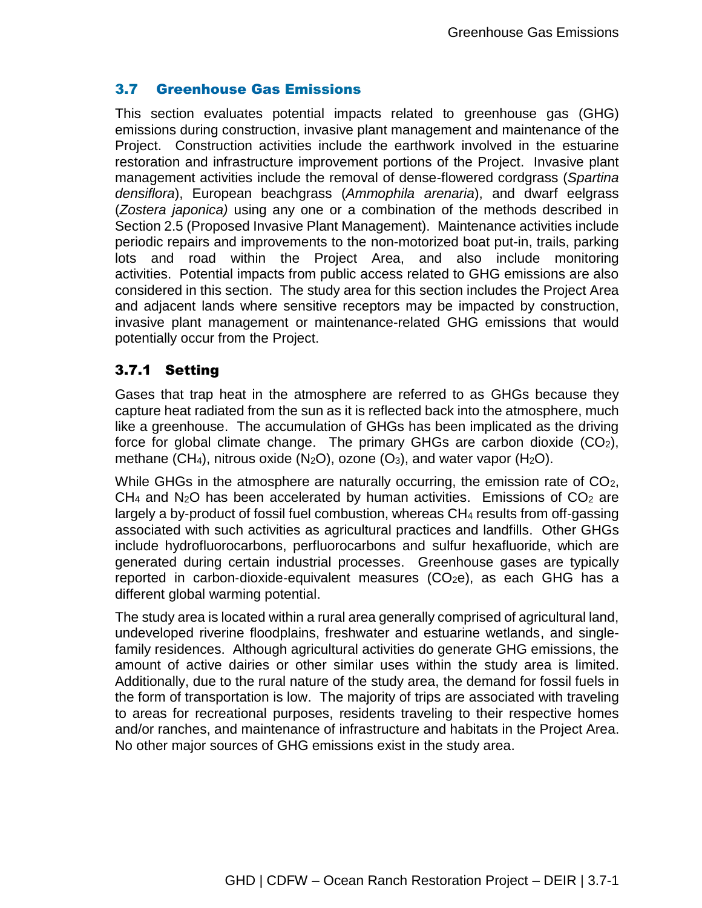# 3.7 Greenhouse Gas Emissions

This section evaluates potential impacts related to greenhouse gas (GHG) emissions during construction, invasive plant management and maintenance of the Project. Construction activities include the earthwork involved in the estuarine restoration and infrastructure improvement portions of the Project. Invasive plant management activities include the removal of dense-flowered cordgrass (*Spartina densiflora*), European beachgrass (*Ammophila arenaria*), and dwarf eelgrass (*Zostera japonica)* using any one or a combination of the methods described in Section 2.5 (Proposed Invasive Plant Management). Maintenance activities include periodic repairs and improvements to the non-motorized boat put-in, trails, parking lots and road within the Project Area, and also include monitoring activities. Potential impacts from public access related to GHG emissions are also considered in this section. The study area for this section includes the Project Area and adjacent lands where sensitive receptors may be impacted by construction, invasive plant management or maintenance-related GHG emissions that would potentially occur from the Project.

## 3.7.1 Setting

Gases that trap heat in the atmosphere are referred to as GHGs because they capture heat radiated from the sun as it is reflected back into the atmosphere, much like a greenhouse. The accumulation of GHGs has been implicated as the driving force for global climate change. The primary GHGs are carbon dioxide  $(CO<sub>2</sub>)$ , methane (CH<sub>4</sub>), nitrous oxide (N<sub>2</sub>O), ozone (O<sub>3</sub>), and water vapor (H<sub>2</sub>O).

While GHGs in the atmosphere are naturally occurring, the emission rate of CO<sub>2</sub>,  $CH<sub>4</sub>$  and N<sub>2</sub>O has been accelerated by human activities. Emissions of CO<sub>2</sub> are largely a by‐product of fossil fuel combustion, whereas CH<sup>4</sup> results from off‐gassing associated with such activities as agricultural practices and landfills. Other GHGs include hydrofluorocarbons, perfluorocarbons and sulfur hexafluoride, which are generated during certain industrial processes. Greenhouse gases are typically reported in carbon-dioxide-equivalent measures  $(CO<sub>2</sub>e)$ , as each GHG has a different global warming potential.

The study area is located within a rural area generally comprised of agricultural land, undeveloped riverine floodplains, freshwater and estuarine wetlands, and singlefamily residences. Although agricultural activities do generate GHG emissions, the amount of active dairies or other similar uses within the study area is limited. Additionally, due to the rural nature of the study area, the demand for fossil fuels in the form of transportation is low. The majority of trips are associated with traveling to areas for recreational purposes, residents traveling to their respective homes and/or ranches, and maintenance of infrastructure and habitats in the Project Area. No other major sources of GHG emissions exist in the study area.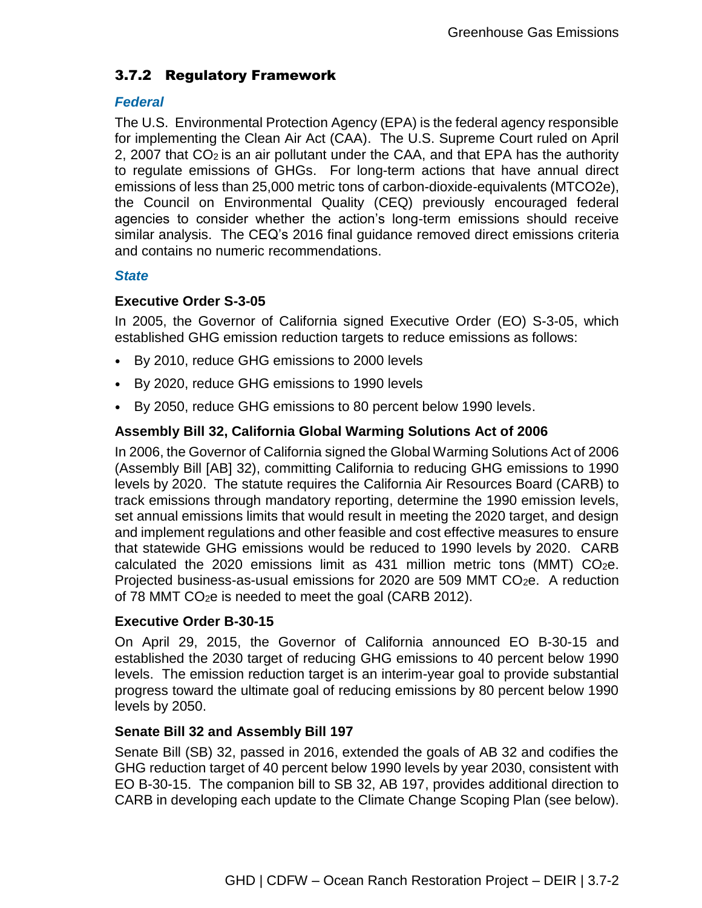# 3.7.2 Regulatory Framework

#### *Federal*

The U.S. Environmental Protection Agency (EPA) is the federal agency responsible for implementing the Clean Air Act (CAA). The U.S. Supreme Court ruled on April 2, 2007 that  $CO<sub>2</sub>$  is an air pollutant under the CAA, and that EPA has the authority to regulate emissions of GHGs. For long-term actions that have annual direct emissions of less than 25,000 metric tons of carbon-dioxide-equivalents (MTCO2e), the Council on Environmental Quality (CEQ) previously encouraged federal agencies to consider whether the action's long-term emissions should receive similar analysis. The CEQ's 2016 final guidance removed direct emissions criteria and contains no numeric recommendations.

### *State*

## **Executive Order S-3-05**

In 2005, the Governor of California signed Executive Order (EO) S-3-05, which established GHG emission reduction targets to reduce emissions as follows:

- By 2010, reduce GHG emissions to 2000 levels
- By 2020, reduce GHG emissions to 1990 levels
- By 2050, reduce GHG emissions to 80 percent below 1990 levels.

### **Assembly Bill 32, California Global Warming Solutions Act of 2006**

In 2006, the Governor of California signed the Global Warming Solutions Act of 2006 (Assembly Bill [AB] 32), committing California to reducing GHG emissions to 1990 levels by 2020. The statute requires the California Air Resources Board (CARB) to track emissions through mandatory reporting, determine the 1990 emission levels, set annual emissions limits that would result in meeting the 2020 target, and design and implement regulations and other feasible and cost effective measures to ensure that statewide GHG emissions would be reduced to 1990 levels by 2020. CARB calculated the 2020 emissions limit as 431 million metric tons (MMT)  $CO<sub>2</sub>e$ . Projected business-as-usual emissions for 2020 are 509 MMT CO<sub>2</sub>e. A reduction of 78 MMT CO2e is needed to meet the goal (CARB 2012).

#### **Executive Order B-30-15**

On April 29, 2015, the Governor of California announced EO B-30-15 and established the 2030 target of reducing GHG emissions to 40 percent below 1990 levels. The emission reduction target is an interim-year goal to provide substantial progress toward the ultimate goal of reducing emissions by 80 percent below 1990 levels by 2050.

#### **Senate Bill 32 and Assembly Bill 197**

Senate Bill (SB) 32, passed in 2016, extended the goals of AB 32 and codifies the GHG reduction target of 40 percent below 1990 levels by year 2030, consistent with EO B-30-15. The companion bill to SB 32, AB 197, provides additional direction to CARB in developing each update to the Climate Change Scoping Plan (see below).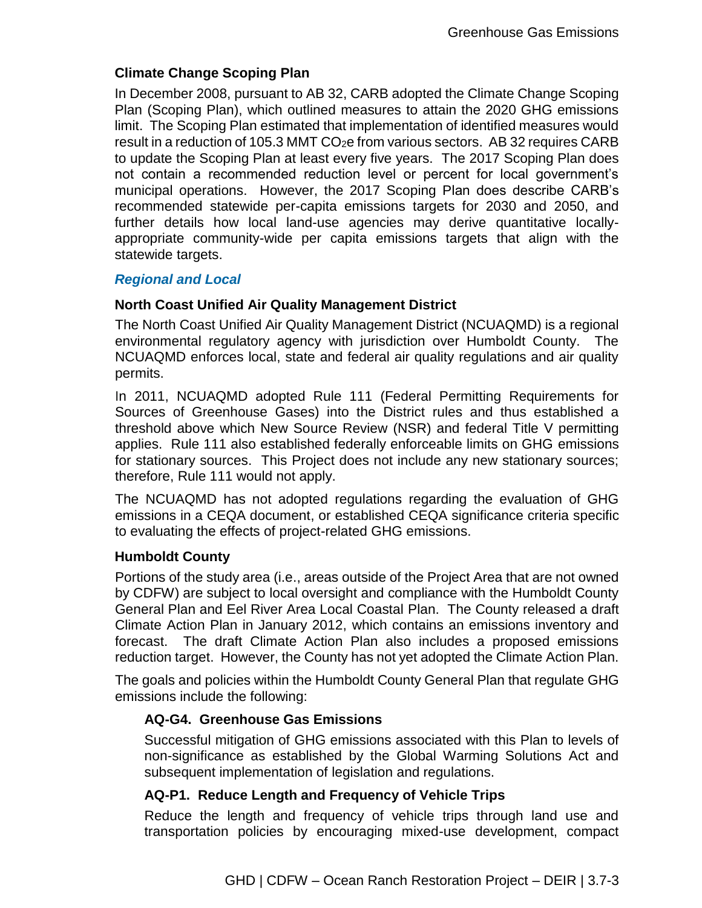### **Climate Change Scoping Plan**

In December 2008, pursuant to AB 32, CARB adopted the Climate Change Scoping Plan (Scoping Plan), which outlined measures to attain the 2020 GHG emissions limit. The Scoping Plan estimated that implementation of identified measures would result in a reduction of 105.3 MMT CO<sub>2</sub>e from various sectors. AB 32 requires CARB to update the Scoping Plan at least every five years. The 2017 Scoping Plan does not contain a recommended reduction level or percent for local government's municipal operations. However, the 2017 Scoping Plan does describe CARB's recommended statewide per-capita emissions targets for 2030 and 2050, and further details how local land-use agencies may derive quantitative locallyappropriate community-wide per capita emissions targets that align with the statewide targets.

#### *Regional and Local*

### **North Coast Unified Air Quality Management District**

The North Coast Unified Air Quality Management District (NCUAQMD) is a regional environmental regulatory agency with jurisdiction over Humboldt County. The NCUAQMD enforces local, state and federal air quality regulations and air quality permits.

In 2011, NCUAQMD adopted Rule 111 (Federal Permitting Requirements for Sources of Greenhouse Gases) into the District rules and thus established a threshold above which New Source Review (NSR) and federal Title V permitting applies. Rule 111 also established federally enforceable limits on GHG emissions for stationary sources. This Project does not include any new stationary sources; therefore, Rule 111 would not apply.

The NCUAQMD has not adopted regulations regarding the evaluation of GHG emissions in a CEQA document, or established CEQA significance criteria specific to evaluating the effects of project-related GHG emissions.

#### **Humboldt County**

Portions of the study area (i.e., areas outside of the Project Area that are not owned by CDFW) are subject to local oversight and compliance with the Humboldt County General Plan and Eel River Area Local Coastal Plan. The County released a draft Climate Action Plan in January 2012, which contains an emissions inventory and forecast. The draft Climate Action Plan also includes a proposed emissions reduction target. However, the County has not yet adopted the Climate Action Plan.

The goals and policies within the Humboldt County General Plan that regulate GHG emissions include the following:

## **AQ-G4. Greenhouse Gas Emissions**

Successful mitigation of GHG emissions associated with this Plan to levels of non-significance as established by the Global Warming Solutions Act and subsequent implementation of legislation and regulations.

#### **AQ-P1. Reduce Length and Frequency of Vehicle Trips**

Reduce the length and frequency of vehicle trips through land use and transportation policies by encouraging mixed-use development, compact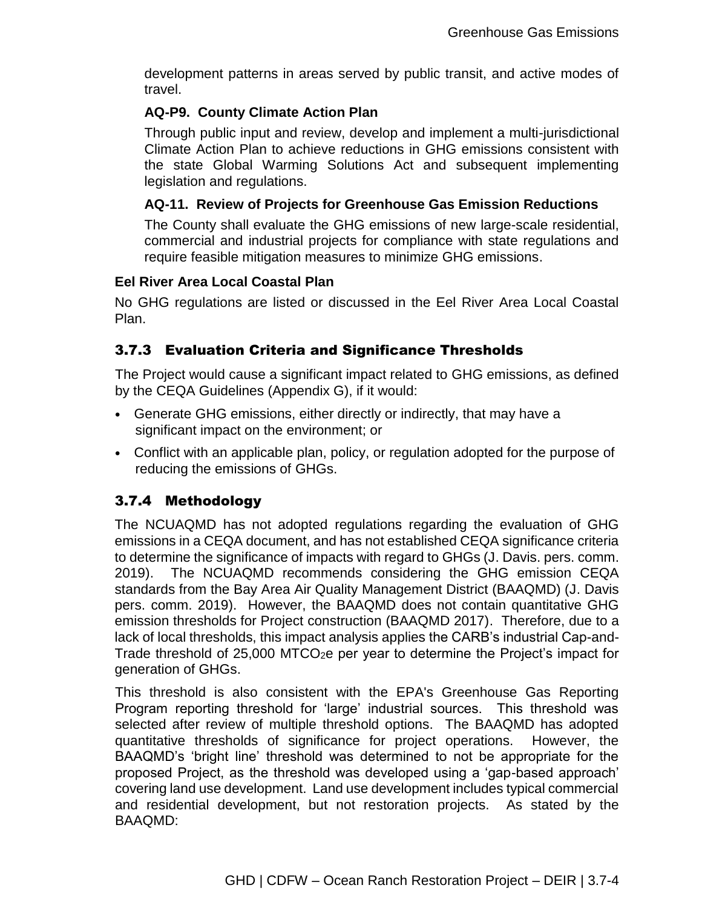development patterns in areas served by public transit, and active modes of travel.

### **AQ-P9. County Climate Action Plan**

Through public input and review, develop and implement a multi-jurisdictional Climate Action Plan to achieve reductions in GHG emissions consistent with the state Global Warming Solutions Act and subsequent implementing legislation and regulations.

### **AQ-11. Review of Projects for Greenhouse Gas Emission Reductions**

The County shall evaluate the GHG emissions of new large-scale residential, commercial and industrial projects for compliance with state regulations and require feasible mitigation measures to minimize GHG emissions.

### **Eel River Area Local Coastal Plan**

No GHG regulations are listed or discussed in the Eel River Area Local Coastal Plan.

# 3.7.3 Evaluation Criteria and Significance Thresholds

The Project would cause a significant impact related to GHG emissions, as defined by the CEQA Guidelines (Appendix G), if it would:

- Generate GHG emissions, either directly or indirectly, that may have a significant impact on the environment; or
- Conflict with an applicable plan, policy, or regulation adopted for the purpose of reducing the emissions of GHGs.

## 3.7.4 Methodology

The NCUAQMD has not adopted regulations regarding the evaluation of GHG emissions in a CEQA document, and has not established CEQA significance criteria to determine the significance of impacts with regard to GHGs (J. Davis. pers. comm. 2019). The NCUAQMD recommends considering the GHG emission CEQA standards from the Bay Area Air Quality Management District (BAAQMD) (J. Davis pers. comm. 2019). However, the BAAQMD does not contain quantitative GHG emission thresholds for Project construction (BAAQMD 2017). Therefore, due to a lack of local thresholds, this impact analysis applies the CARB's industrial Cap-and-Trade threshold of 25,000 MTCO2e per year to determine the Project's impact for generation of GHGs.

This threshold is also consistent with the EPA's Greenhouse Gas Reporting Program reporting threshold for 'large' industrial sources. This threshold was selected after review of multiple threshold options. The BAAQMD has adopted quantitative thresholds of significance for project operations. However, the BAAQMD's 'bright line' threshold was determined to not be appropriate for the proposed Project, as the threshold was developed using a 'gap-based approach' covering land use development. Land use development includes typical commercial and residential development, but not restoration projects. As stated by the BAAQMD: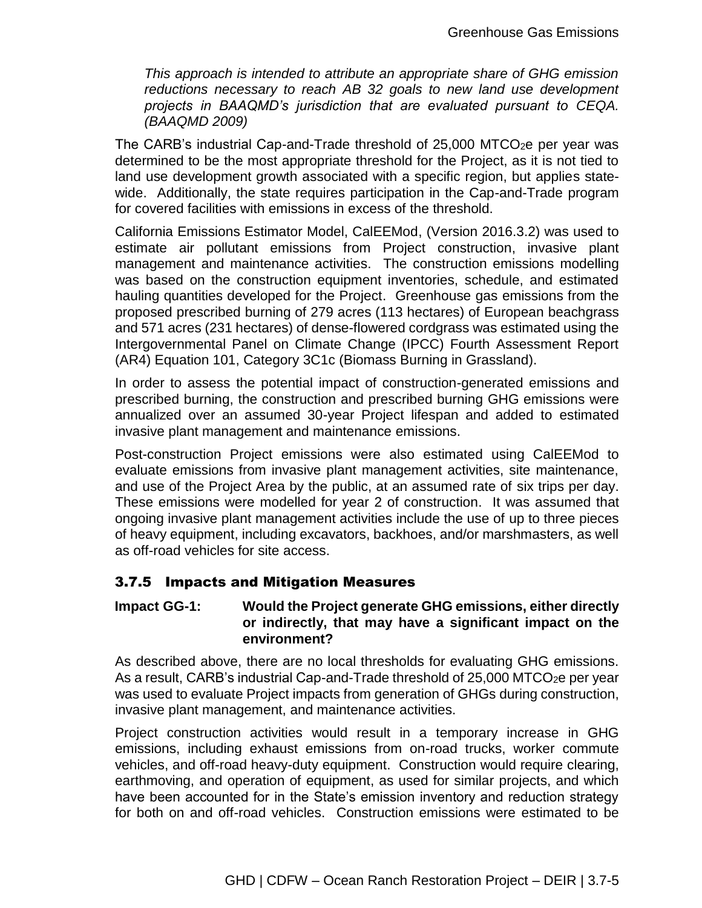*This approach is intended to attribute an appropriate share of GHG emission reductions necessary to reach AB 32 goals to new land use development projects in BAAQMD's jurisdiction that are evaluated pursuant to CEQA. (BAAQMD 2009)*

The CARB's industrial Cap-and-Trade threshold of  $25,000$  MTCO<sub>2</sub>e per year was determined to be the most appropriate threshold for the Project, as it is not tied to land use development growth associated with a specific region, but applies statewide. Additionally, the state requires participation in the Cap-and-Trade program for covered facilities with emissions in excess of the threshold.

California Emissions Estimator Model, CalEEMod, (Version 2016.3.2) was used to estimate air pollutant emissions from Project construction, invasive plant management and maintenance activities. The construction emissions modelling was based on the construction equipment inventories, schedule, and estimated hauling quantities developed for the Project. Greenhouse gas emissions from the proposed prescribed burning of 279 acres (113 hectares) of European beachgrass and 571 acres (231 hectares) of dense-flowered cordgrass was estimated using the Intergovernmental Panel on Climate Change (IPCC) Fourth Assessment Report (AR4) Equation 101, Category 3C1c (Biomass Burning in Grassland).

In order to assess the potential impact of construction-generated emissions and prescribed burning, the construction and prescribed burning GHG emissions were annualized over an assumed 30-year Project lifespan and added to estimated invasive plant management and maintenance emissions.

Post-construction Project emissions were also estimated using CalEEMod to evaluate emissions from invasive plant management activities, site maintenance, and use of the Project Area by the public, at an assumed rate of six trips per day. These emissions were modelled for year 2 of construction. It was assumed that ongoing invasive plant management activities include the use of up to three pieces of heavy equipment, including excavators, backhoes, and/or marshmasters, as well as off-road vehicles for site access.

## 3.7.5 Impacts and Mitigation Measures

#### **Impact GG-1: Would the Project generate GHG emissions, either directly or indirectly, that may have a significant impact on the environment?**

As described above, there are no local thresholds for evaluating GHG emissions. As a result, CARB's industrial Cap-and-Trade threshold of  $25,000$  MTCO<sub>2</sub>e per year was used to evaluate Project impacts from generation of GHGs during construction, invasive plant management, and maintenance activities.

Project construction activities would result in a temporary increase in GHG emissions, including exhaust emissions from on-road trucks, worker commute vehicles, and off-road heavy-duty equipment. Construction would require clearing, earthmoving, and operation of equipment, as used for similar projects, and which have been accounted for in the State's emission inventory and reduction strategy for both on and off-road vehicles. Construction emissions were estimated to be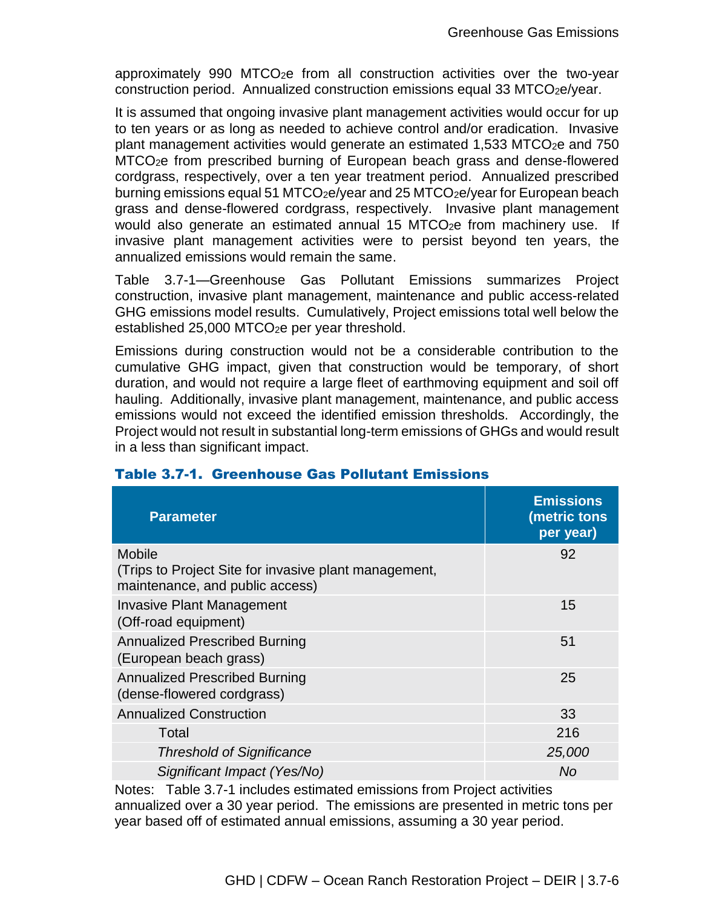approximately 990 MTCO2e from all construction activities over the two-year construction period. Annualized construction emissions equal 33 MTCO<sub>2</sub>e/year.

It is assumed that ongoing invasive plant management activities would occur for up to ten years or as long as needed to achieve control and/or eradication. Invasive plant management activities would generate an estimated 1,533 MTCO $_{2}$ e and 750 MTCO2e from prescribed burning of European beach grass and dense-flowered cordgrass, respectively, over a ten year treatment period. Annualized prescribed burning emissions equal 51 MTCO<sub>2</sub>e/year and 25 MTCO<sub>2</sub>e/year for European beach grass and dense-flowered cordgrass, respectively. Invasive plant management would also generate an estimated annual 15 MTCO<sub>2</sub>e from machinery use. If invasive plant management activities were to persist beyond ten years, the annualized emissions would remain the same.

Table 3.7-1—Greenhouse Gas Pollutant Emissions summarizes Project construction, invasive plant management, maintenance and public access-related GHG emissions model results. Cumulatively, Project emissions total well below the established 25,000 MTCO<sub>2</sub>e per year threshold.

Emissions during construction would not be a considerable contribution to the cumulative GHG impact, given that construction would be temporary, of short duration, and would not require a large fleet of earthmoving equipment and soil off hauling. Additionally, invasive plant management, maintenance, and public access emissions would not exceed the identified emission thresholds. Accordingly, the Project would not result in substantial long-term emissions of GHGs and would result in a less than significant impact.

| <b>Parameter</b>                                                                                          | <b>Emissions</b><br>(metric tons<br>per year) |
|-----------------------------------------------------------------------------------------------------------|-----------------------------------------------|
| <b>Mobile</b><br>(Trips to Project Site for invasive plant management,<br>maintenance, and public access) | 92                                            |
| <b>Invasive Plant Management</b><br>(Off-road equipment)                                                  | 15                                            |
| <b>Annualized Prescribed Burning</b><br>(European beach grass)                                            | 51                                            |
| <b>Annualized Prescribed Burning</b><br>(dense-flowered cordgrass)                                        | 25                                            |
| <b>Annualized Construction</b>                                                                            | 33                                            |
| Total                                                                                                     | 216                                           |
| <b>Threshold of Significance</b>                                                                          | 25,000                                        |
| Significant Impact (Yes/No)                                                                               | No                                            |

## Table 3.7-1. Greenhouse Gas Pollutant Emissions

Notes: Table 3.7-1 includes estimated emissions from Project activities annualized over a 30 year period. The emissions are presented in metric tons per year based off of estimated annual emissions, assuming a 30 year period.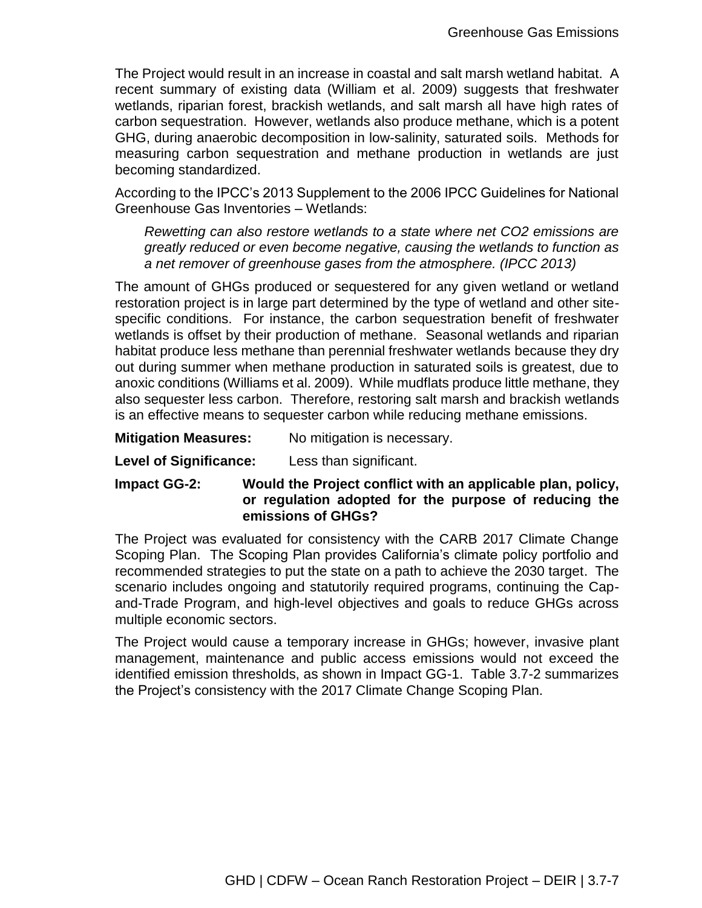The Project would result in an increase in coastal and salt marsh wetland habitat. A recent summary of existing data (William et al. 2009) suggests that freshwater wetlands, riparian forest, brackish wetlands, and salt marsh all have high rates of carbon sequestration. However, wetlands also produce methane, which is a potent GHG, during anaerobic decomposition in low-salinity, saturated soils. Methods for measuring carbon sequestration and methane production in wetlands are just becoming standardized.

According to the IPCC's 2013 Supplement to the 2006 IPCC Guidelines for National Greenhouse Gas Inventories – Wetlands:

*Rewetting can also restore wetlands to a state where net CO2 emissions are greatly reduced or even become negative, causing the wetlands to function as a net remover of greenhouse gases from the atmosphere. (IPCC 2013)*

The amount of GHGs produced or sequestered for any given wetland or wetland restoration project is in large part determined by the type of wetland and other sitespecific conditions. For instance, the carbon sequestration benefit of freshwater wetlands is offset by their production of methane. Seasonal wetlands and riparian habitat produce less methane than perennial freshwater wetlands because they dry out during summer when methane production in saturated soils is greatest, due to anoxic conditions (Williams et al. 2009). While mudflats produce little methane, they also sequester less carbon. Therefore, restoring salt marsh and brackish wetlands is an effective means to sequester carbon while reducing methane emissions.

**Mitigation Measures:** No mitigation is necessary.

**Level of Significance:** Less than significant.

**Impact GG-2: Would the Project conflict with an applicable plan, policy, or regulation adopted for the purpose of reducing the emissions of GHGs?**

The Project was evaluated for consistency with the CARB 2017 Climate Change Scoping Plan. The Scoping Plan provides California's climate policy portfolio and recommended strategies to put the state on a path to achieve the 2030 target. The scenario includes ongoing and statutorily required programs, continuing the Capand-Trade Program, and high-level objectives and goals to reduce GHGs across multiple economic sectors.

The Project would cause a temporary increase in GHGs; however, invasive plant management, maintenance and public access emissions would not exceed the identified emission thresholds, as shown in Impact GG-1. Table 3.7-2 summarizes the Project's consistency with the 2017 Climate Change Scoping Plan.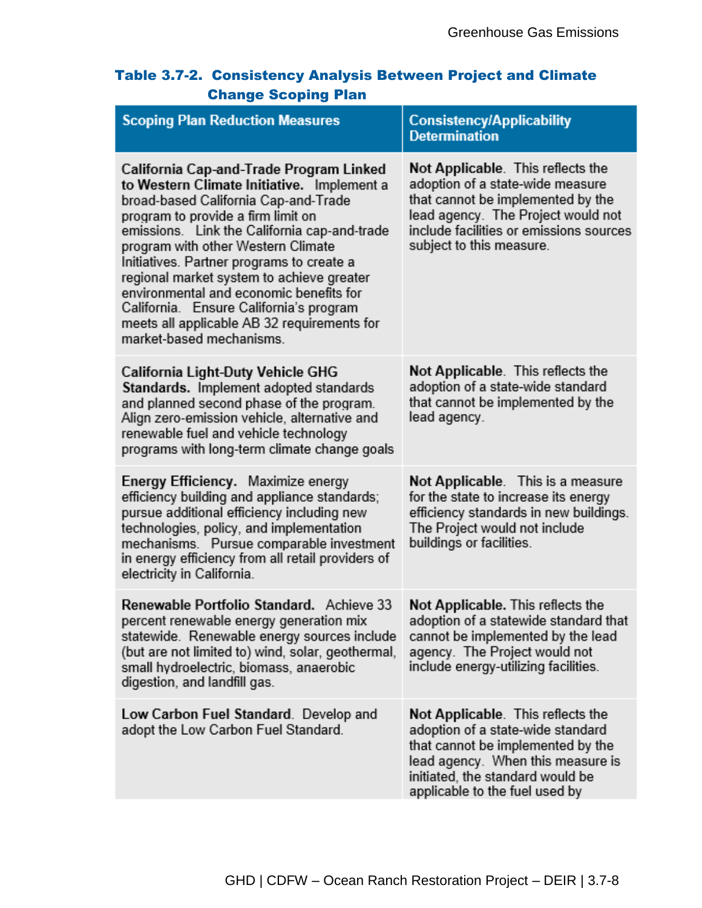| Table 3.7-2. Consistency Analysis Between Project and Climate |
|---------------------------------------------------------------|
| <b>Change Scoping Plan</b>                                    |

| <b>Scoping Plan Reduction Measures</b>                                                                                                                                                                                                                                                                                                                                                                                                                                                                               | <b>Consistency/Applicability</b><br><b>Determination</b>                                                                                                                                                                |
|----------------------------------------------------------------------------------------------------------------------------------------------------------------------------------------------------------------------------------------------------------------------------------------------------------------------------------------------------------------------------------------------------------------------------------------------------------------------------------------------------------------------|-------------------------------------------------------------------------------------------------------------------------------------------------------------------------------------------------------------------------|
| California Cap-and-Trade Program Linked<br>to Western Climate Initiative. Implement a<br>broad-based California Cap-and-Trade<br>program to provide a firm limit on<br>emissions. Link the California cap-and-trade<br>program with other Western Climate<br>Initiatives. Partner programs to create a<br>regional market system to achieve greater<br>environmental and economic benefits for<br>California. Ensure California's program<br>meets all applicable AB 32 requirements for<br>market-based mechanisms. | Not Applicable. This reflects the<br>adoption of a state-wide measure<br>that cannot be implemented by the<br>lead agency. The Project would not<br>include facilities or emissions sources<br>subject to this measure. |
| California Light-Duty Vehicle GHG<br>Standards. Implement adopted standards<br>and planned second phase of the program.<br>Align zero-emission vehicle, alternative and<br>renewable fuel and vehicle technology<br>programs with long-term climate change goals                                                                                                                                                                                                                                                     | Not Applicable. This reflects the<br>adoption of a state-wide standard<br>that cannot be implemented by the<br>lead agency.                                                                                             |
| Energy Efficiency. Maximize energy<br>efficiency building and appliance standards;<br>pursue additional efficiency including new<br>technologies, policy, and implementation<br>mechanisms. Pursue comparable investment<br>in energy efficiency from all retail providers of<br>electricity in California.                                                                                                                                                                                                          | Not Applicable. This is a measure<br>for the state to increase its energy<br>efficiency standards in new buildings.<br>The Project would not include<br>buildings or facilities.                                        |
| Renewable Portfolio Standard. Achieve 33<br>percent renewable energy generation mix<br>statewide. Renewable energy sources include<br>(but are not limited to) wind, solar, geothermal,<br>small hydroelectric, biomass, anaerobic<br>digestion, and landfill gas.                                                                                                                                                                                                                                                   | Not Applicable. This reflects the<br>adoption of a statewide standard that<br>cannot be implemented by the lead<br>agency. The Project would not<br>include energy-utilizing facilities.                                |
| Low Carbon Fuel Standard. Develop and<br>adopt the Low Carbon Fuel Standard.                                                                                                                                                                                                                                                                                                                                                                                                                                         | Not Applicable. This reflects the<br>adoption of a state-wide standard<br>that cannot be implemented by the<br>lead agency. When this measure is<br>initiated, the standard would be<br>applicable to the fuel used by  |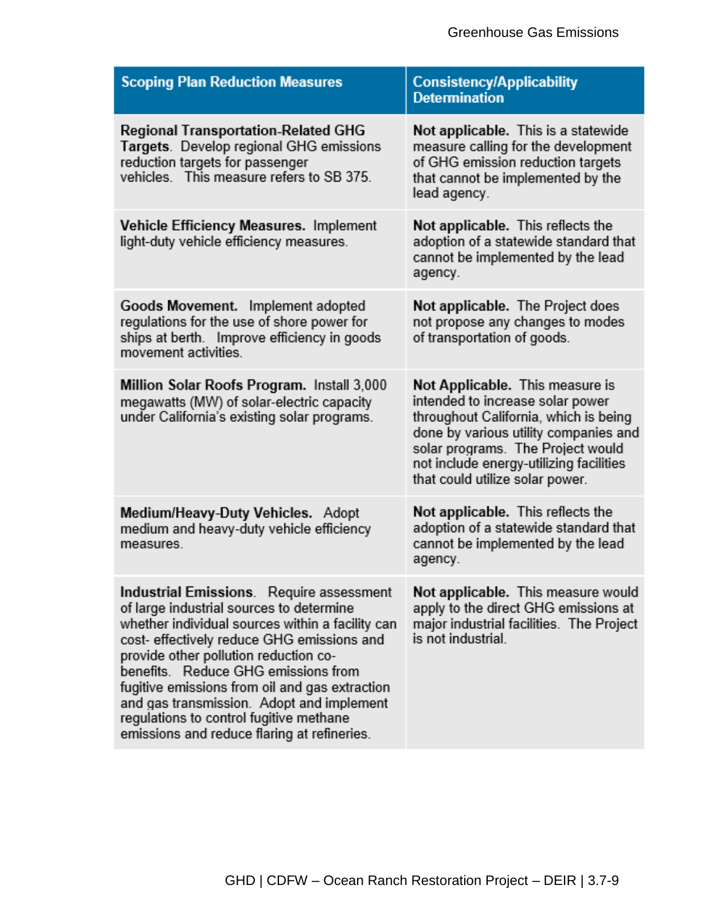| <b>Scoping Plan Reduction Measures</b>                                                                                                                                                                                                                                                                                                                                                                                                                          | <b>Consistency/Applicability</b><br><b>Determination</b>                                                                                                                                                                                                                 |
|-----------------------------------------------------------------------------------------------------------------------------------------------------------------------------------------------------------------------------------------------------------------------------------------------------------------------------------------------------------------------------------------------------------------------------------------------------------------|--------------------------------------------------------------------------------------------------------------------------------------------------------------------------------------------------------------------------------------------------------------------------|
| <b>Regional Transportation-Related GHG</b><br>Targets. Develop regional GHG emissions<br>reduction targets for passenger<br>vehicles. This measure refers to SB 375.                                                                                                                                                                                                                                                                                            | Not applicable. This is a statewide<br>measure calling for the development<br>of GHG emission reduction targets<br>that cannot be implemented by the<br>lead agency.                                                                                                     |
| Vehicle Efficiency Measures. Implement<br>light-duty vehicle efficiency measures.                                                                                                                                                                                                                                                                                                                                                                               | Not applicable. This reflects the<br>adoption of a statewide standard that<br>cannot be implemented by the lead<br>agency.                                                                                                                                               |
| Goods Movement. Implement adopted<br>regulations for the use of shore power for<br>ships at berth. Improve efficiency in goods<br>movement activities.                                                                                                                                                                                                                                                                                                          | Not applicable. The Project does<br>not propose any changes to modes<br>of transportation of goods.                                                                                                                                                                      |
| Million Solar Roofs Program. Install 3,000<br>megawatts (MW) of solar-electric capacity<br>under California's existing solar programs.                                                                                                                                                                                                                                                                                                                          | Not Applicable. This measure is<br>intended to increase solar power<br>throughout California, which is being<br>done by various utility companies and<br>solar programs. The Project would<br>not include energy-utilizing facilities<br>that could utilize solar power. |
| Medium/Heavy-Duty Vehicles. Adopt<br>medium and heavy-duty vehicle efficiency<br>measures.                                                                                                                                                                                                                                                                                                                                                                      | Not applicable. This reflects the<br>adoption of a statewide standard that<br>cannot be implemented by the lead<br>agency.                                                                                                                                               |
| Industrial Emissions. Require assessment<br>of large industrial sources to determine<br>whether individual sources within a facility can<br>cost- effectively reduce GHG emissions and<br>provide other pollution reduction co-<br>benefits. Reduce GHG emissions from<br>fugitive emissions from oil and gas extraction<br>and gas transmission. Adopt and implement<br>regulations to control fugitive methane<br>emissions and reduce flaring at refineries. | Not applicable. This measure would<br>apply to the direct GHG emissions at<br>major industrial facilities. The Project<br>is not industrial.                                                                                                                             |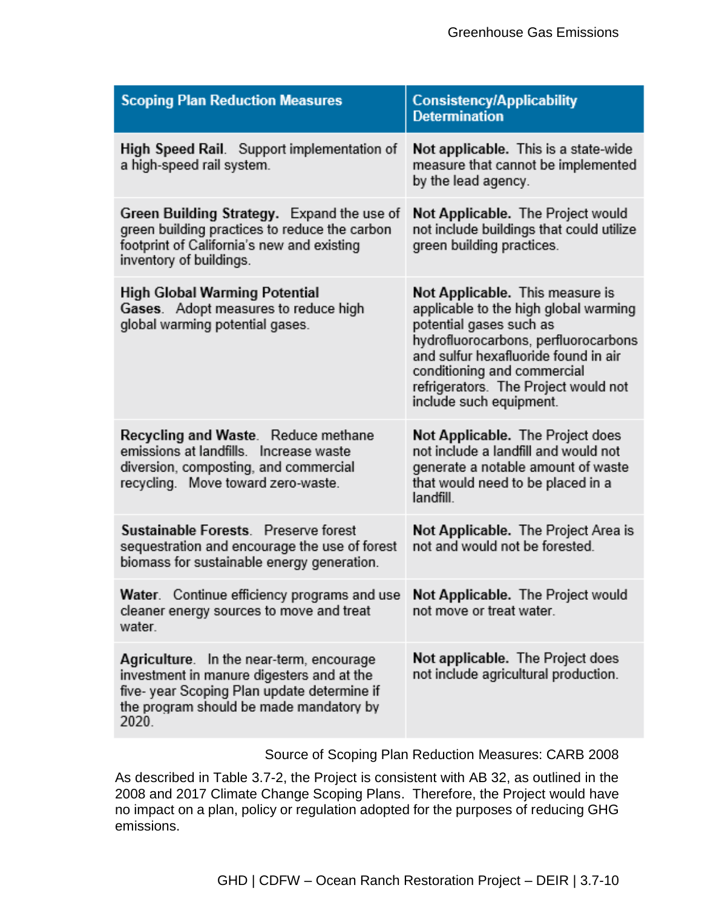| <b>Scoping Plan Reduction Measures</b>                                                                                                                                                  | <b>Consistency/Applicability</b><br><b>Determination</b>                                                                                                                                                                                                                              |
|-----------------------------------------------------------------------------------------------------------------------------------------------------------------------------------------|---------------------------------------------------------------------------------------------------------------------------------------------------------------------------------------------------------------------------------------------------------------------------------------|
| High Speed Rail. Support implementation of<br>a high-speed rail system.                                                                                                                 | Not applicable. This is a state-wide<br>measure that cannot be implemented<br>by the lead agency.                                                                                                                                                                                     |
| Green Building Strategy. Expand the use of<br>green building practices to reduce the carbon<br>footprint of California's new and existing<br>inventory of buildings.                    | Not Applicable. The Project would<br>not include buildings that could utilize<br>green building practices.                                                                                                                                                                            |
| High Global Warming Potential<br>Gases. Adopt measures to reduce high<br>global warming potential gases.                                                                                | Not Applicable. This measure is<br>applicable to the high global warming<br>potential gases such as<br>hydrofluorocarbons, perfluorocarbons<br>and sulfur hexafluoride found in air<br>conditioning and commercial<br>refrigerators. The Project would not<br>include such equipment. |
| Recycling and Waste. Reduce methane<br>emissions at landfills. Increase waste<br>diversion, composting, and commercial<br>recycling. Move toward zero-waste.                            | Not Applicable. The Project does<br>not include a landfill and would not<br>generate a notable amount of waste<br>that would need to be placed in a<br>landfill.                                                                                                                      |
| Sustainable Forests. Preserve forest<br>sequestration and encourage the use of forest<br>biomass for sustainable energy generation.                                                     | Not Applicable. The Project Area is<br>not and would not be forested.                                                                                                                                                                                                                 |
| Continue efficiency programs and use<br>Water.<br>cleaner energy sources to move and treat<br>water.                                                                                    | Not Applicable. The Project would<br>not move or treat water.                                                                                                                                                                                                                         |
| Agriculture. In the near-term, encourage<br>investment in manure digesters and at the<br>five-year Scoping Plan update determine if<br>the program should be made mandatory by<br>2020. | Not applicable. The Project does<br>not include agricultural production.                                                                                                                                                                                                              |

Source of Scoping Plan Reduction Measures: CARB 2008

As described in Table 3.7-2, the Project is consistent with AB 32, as outlined in the 2008 and 2017 Climate Change Scoping Plans. Therefore, the Project would have no impact on a plan, policy or regulation adopted for the purposes of reducing GHG emissions.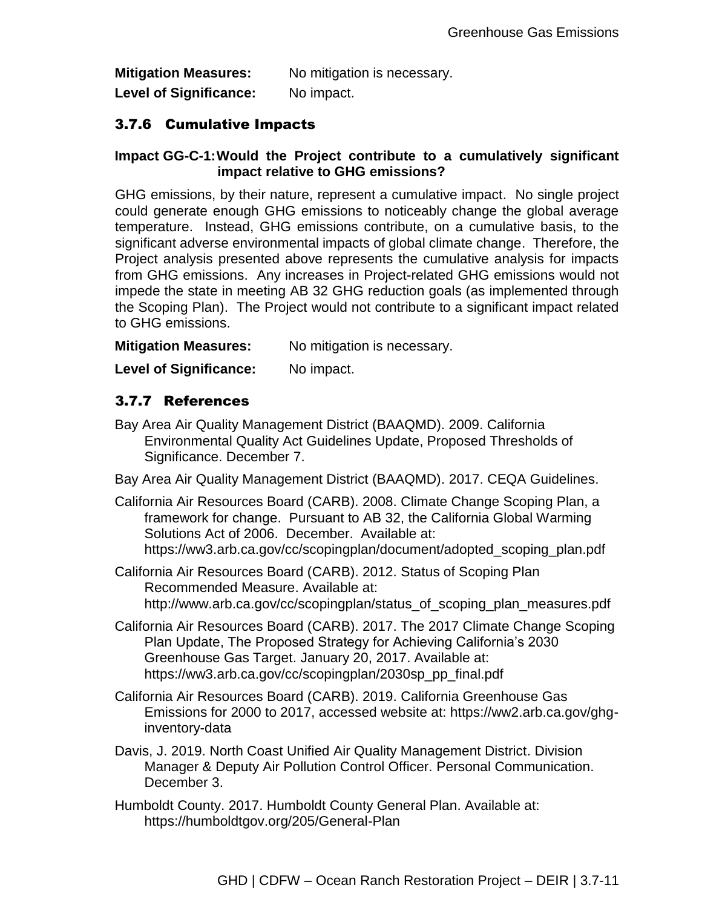**Mitigation Measures:** No mitigation is necessary. Level of Significance: No impact.

## 3.7.6 Cumulative Impacts

### **Impact GG-C-1:Would the Project contribute to a cumulatively significant impact relative to GHG emissions?**

GHG emissions, by their nature, represent a cumulative impact. No single project could generate enough GHG emissions to noticeably change the global average temperature. Instead, GHG emissions contribute, on a cumulative basis, to the significant adverse environmental impacts of global climate change. Therefore, the Project analysis presented above represents the cumulative analysis for impacts from GHG emissions. Any increases in Project-related GHG emissions would not impede the state in meeting AB 32 GHG reduction goals (as implemented through the Scoping Plan). The Project would not contribute to a significant impact related to GHG emissions.

**Mitigation Measures:** No mitigation is necessary.

Level of Significance: No impact.

## 3.7.7 References

Bay Area Air Quality Management District (BAAQMD). 2009. California Environmental Quality Act Guidelines Update, Proposed Thresholds of Significance. December 7.

Bay Area Air Quality Management District (BAAQMD). 2017. CEQA Guidelines.

California Air Resources Board (CARB). 2008. Climate Change Scoping Plan, a framework for change. Pursuant to AB 32, the California Global Warming Solutions Act of 2006. December. Available at: [https://ww3.arb.ca.gov/cc/scopingplan/document/adopted\\_scoping\\_plan.pdf](https://ww3.arb.ca.gov/cc/scopingplan/document/adopted_scoping_plan.pdf)

California Air Resources Board (CARB). 2012. Status of Scoping Plan Recommended Measure. Available at: [http://www.arb.ca.gov/cc/scopingplan/status\\_of\\_scoping\\_plan\\_measures.pdf](http://www.arb.ca.gov/cc/scopingplan/status_of_scoping_plan_measures.pdf)

- California Air Resources Board (CARB). 2017. The 2017 Climate Change Scoping Plan Update, The Proposed Strategy for Achieving California's 2030 Greenhouse Gas Target. January 20, 2017. Available at: https://ww3.arb.ca.gov/cc/scopingplan/2030sp\_pp\_final.pdf
- California Air Resources Board (CARB). 2019. California Greenhouse Gas Emissions for 2000 to 2017, accessed website at: https://ww2.arb.ca.gov/ghginventory-data
- Davis, J. 2019. North Coast Unified Air Quality Management District. Division Manager & Deputy Air Pollution Control Officer. Personal Communication. December 3.
- Humboldt County. 2017. Humboldt County General Plan. Available at: https://humboldtgov.org/205/General-Plan